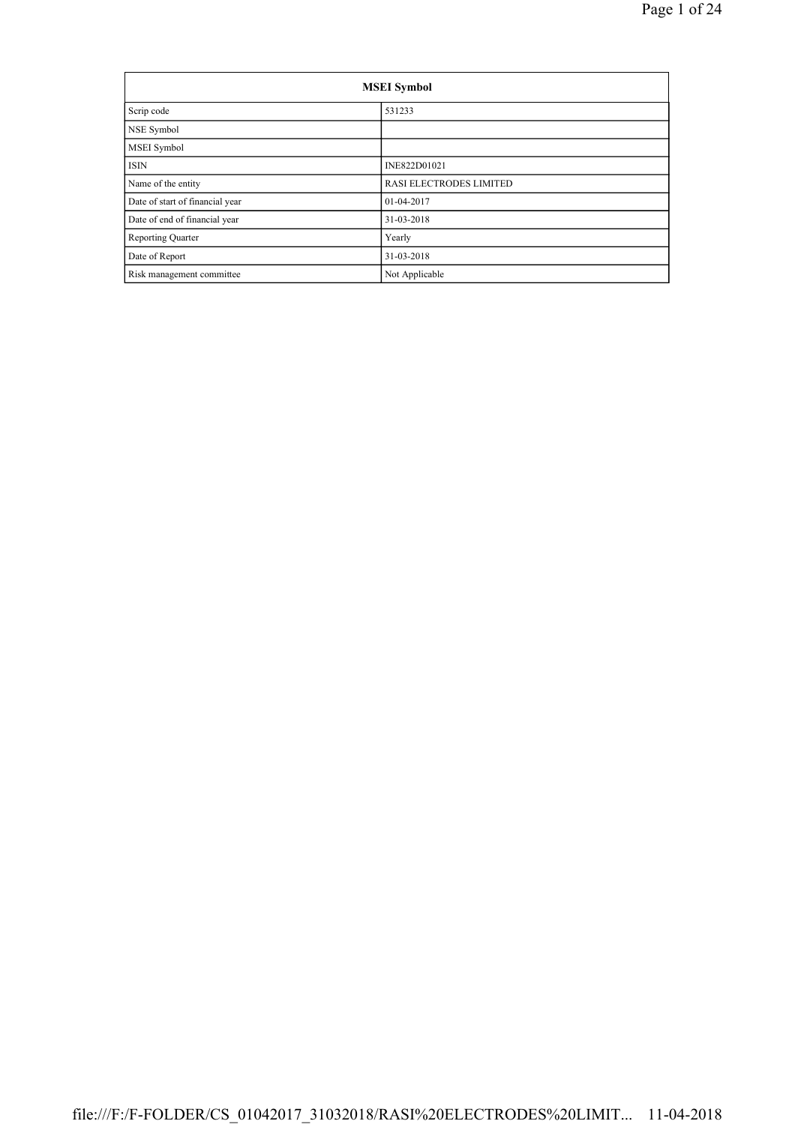| <b>MSEI</b> Symbol              |                         |  |  |  |
|---------------------------------|-------------------------|--|--|--|
| Scrip code                      | 531233                  |  |  |  |
| NSE Symbol                      |                         |  |  |  |
| <b>MSEI</b> Symbol              |                         |  |  |  |
| <b>ISIN</b>                     | INE822D01021            |  |  |  |
| Name of the entity              | RASI ELECTRODES LIMITED |  |  |  |
| Date of start of financial year | 01-04-2017              |  |  |  |
| Date of end of financial year   | 31-03-2018              |  |  |  |
| <b>Reporting Quarter</b>        | Yearly                  |  |  |  |
| Date of Report                  | 31-03-2018              |  |  |  |
| Risk management committee       | Not Applicable          |  |  |  |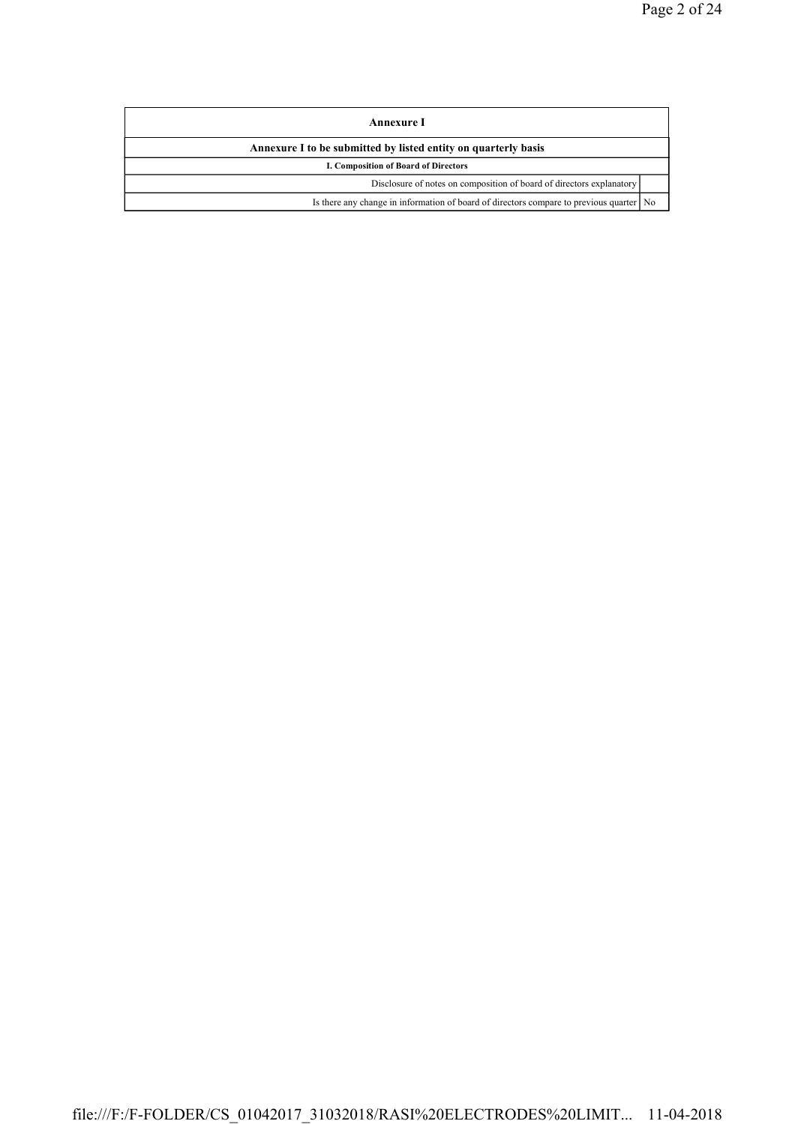| Annexure I                                                                                |  |
|-------------------------------------------------------------------------------------------|--|
| Annexure I to be submitted by listed entity on quarterly basis                            |  |
| I. Composition of Board of Directors                                                      |  |
| Disclosure of notes on composition of board of directors explanatory                      |  |
| Is there any change in information of board of directors compare to previous quarter   No |  |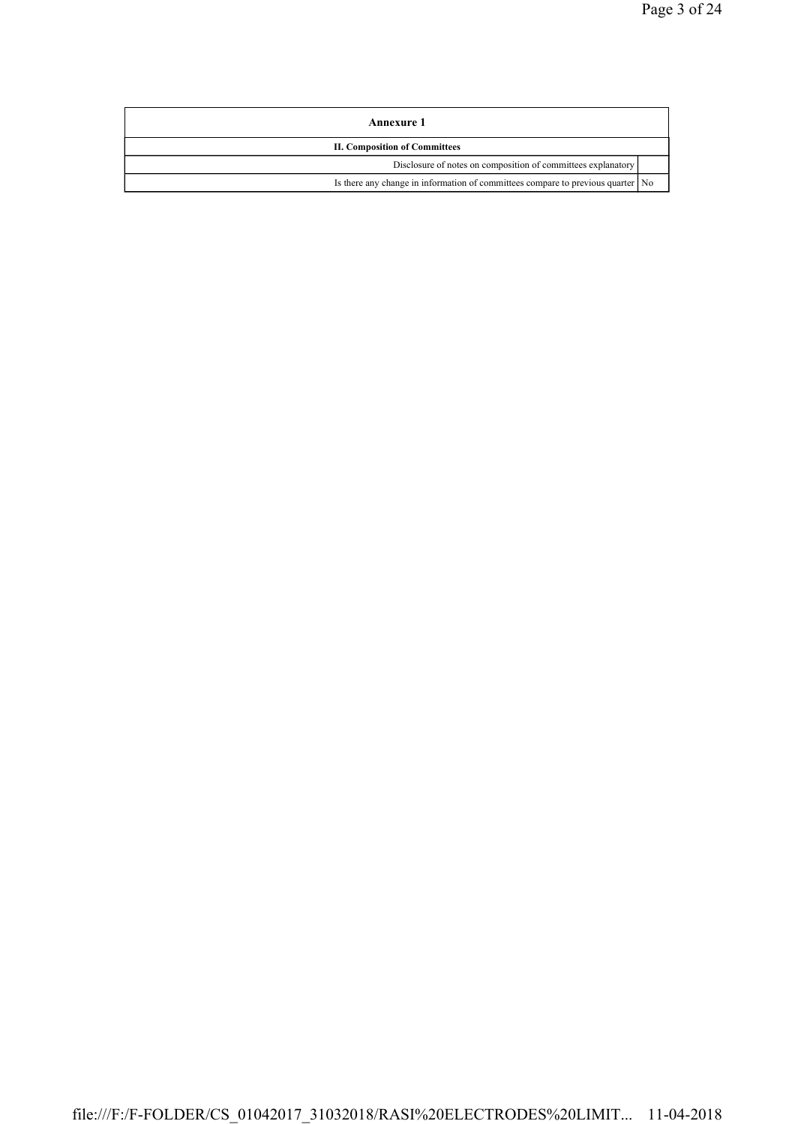| Annexure 1                                                                      |  |
|---------------------------------------------------------------------------------|--|
| <b>II. Composition of Committees</b>                                            |  |
| Disclosure of notes on composition of committees explanatory                    |  |
| Is there any change in information of committees compare to previous quarter No |  |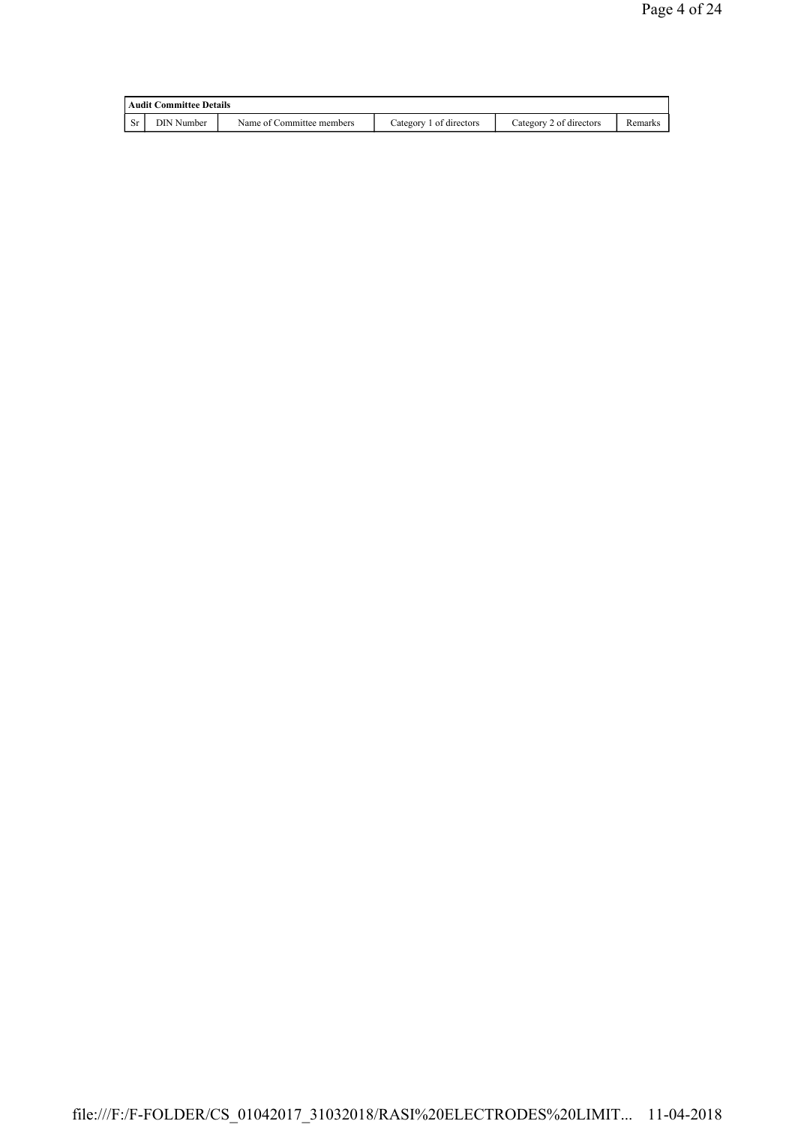| <b>Audit Committee Details</b> |            |                           |                         |                         |         |
|--------------------------------|------------|---------------------------|-------------------------|-------------------------|---------|
|                                | DIN Number | Name of Committee members | Category 1 of directors | Category 2 of directors | Remarks |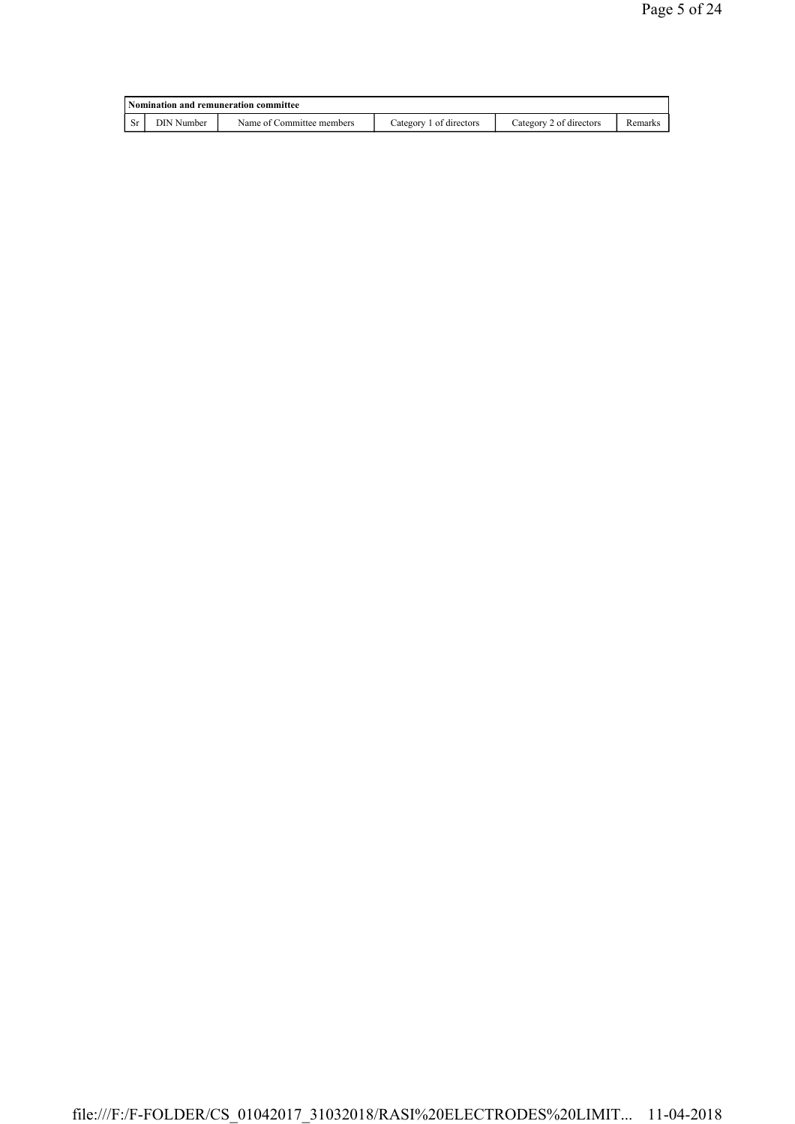| Nomination and remuneration committee |            |                           |                         |                         |         |  |
|---------------------------------------|------------|---------------------------|-------------------------|-------------------------|---------|--|
| <b>Sr</b>                             | DIN Number | Name of Committee members | Category 1 of directors | Category 2 of directors | Remarks |  |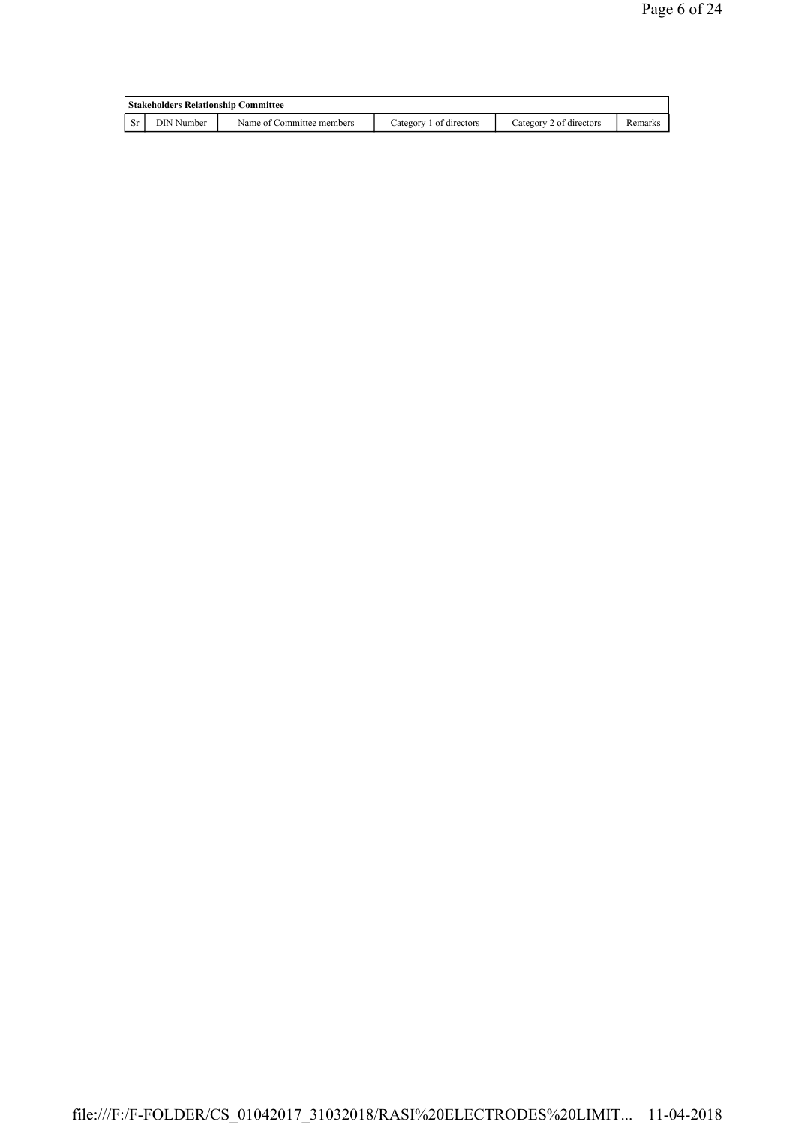| <b>Stakeholders Relationship Committee</b> |                   |                           |                         |                         |         |  |
|--------------------------------------------|-------------------|---------------------------|-------------------------|-------------------------|---------|--|
|                                            | <b>DIN</b> Number | Name of Committee members | Category 1 of directors | Category 2 of directors | Remarks |  |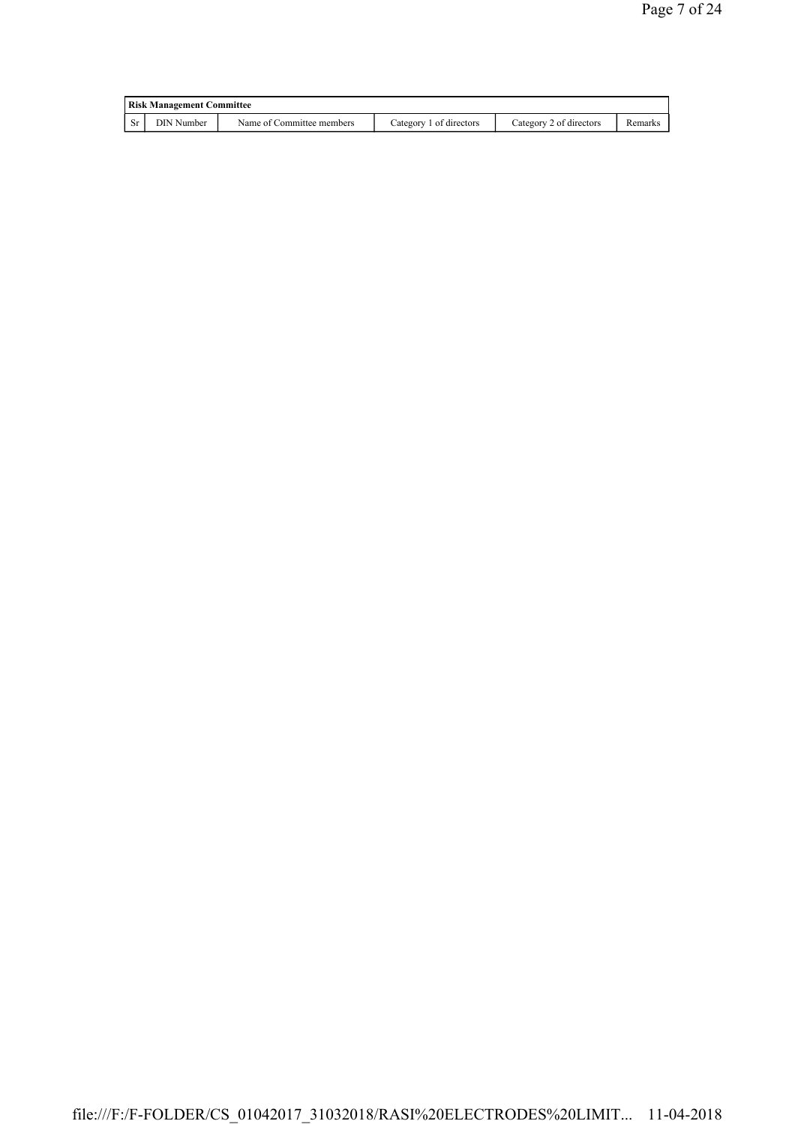| <b>Risk Management Committee</b> |                           |                         |                         |         |  |
|----------------------------------|---------------------------|-------------------------|-------------------------|---------|--|
| DIN Number                       | Name of Committee members | Category 1 of directors | Category 2 of directors | Remarks |  |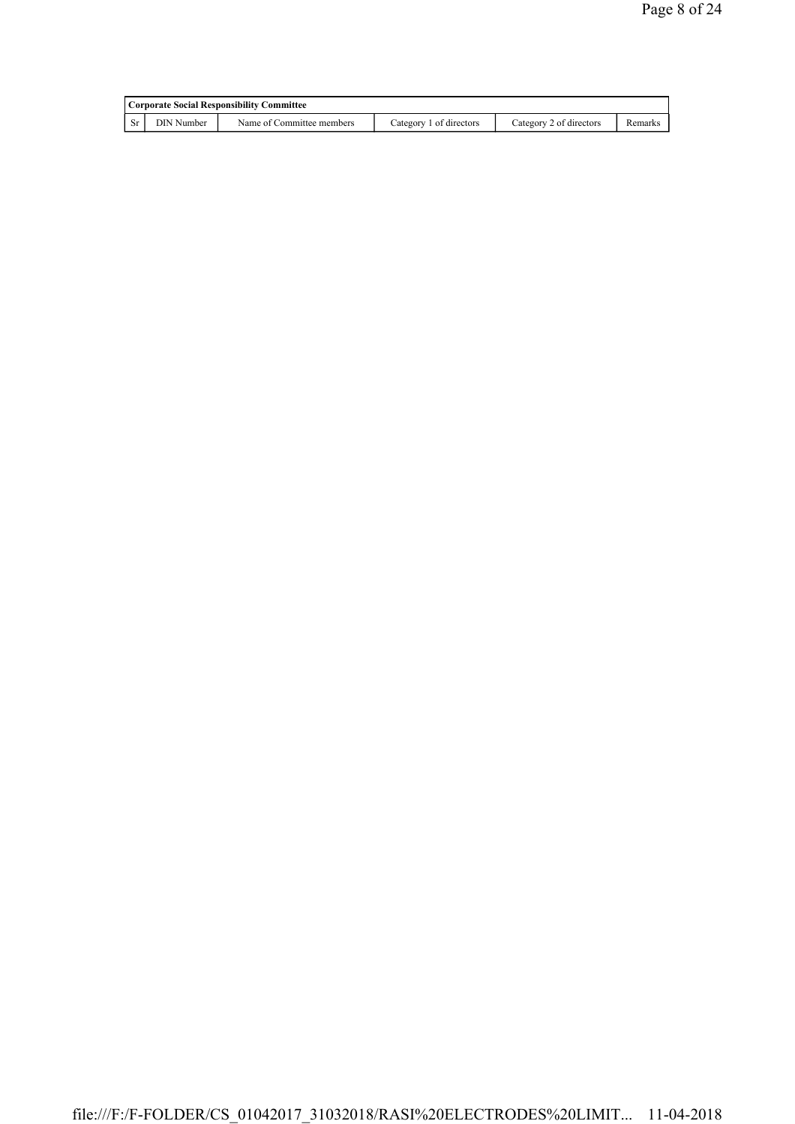| Corporate Social Responsibility Committee |                           |                         |                         |         |  |  |
|-------------------------------------------|---------------------------|-------------------------|-------------------------|---------|--|--|
| DIN Number                                | Name of Committee members | Category 1 of directors | Category 2 of directors | Remarks |  |  |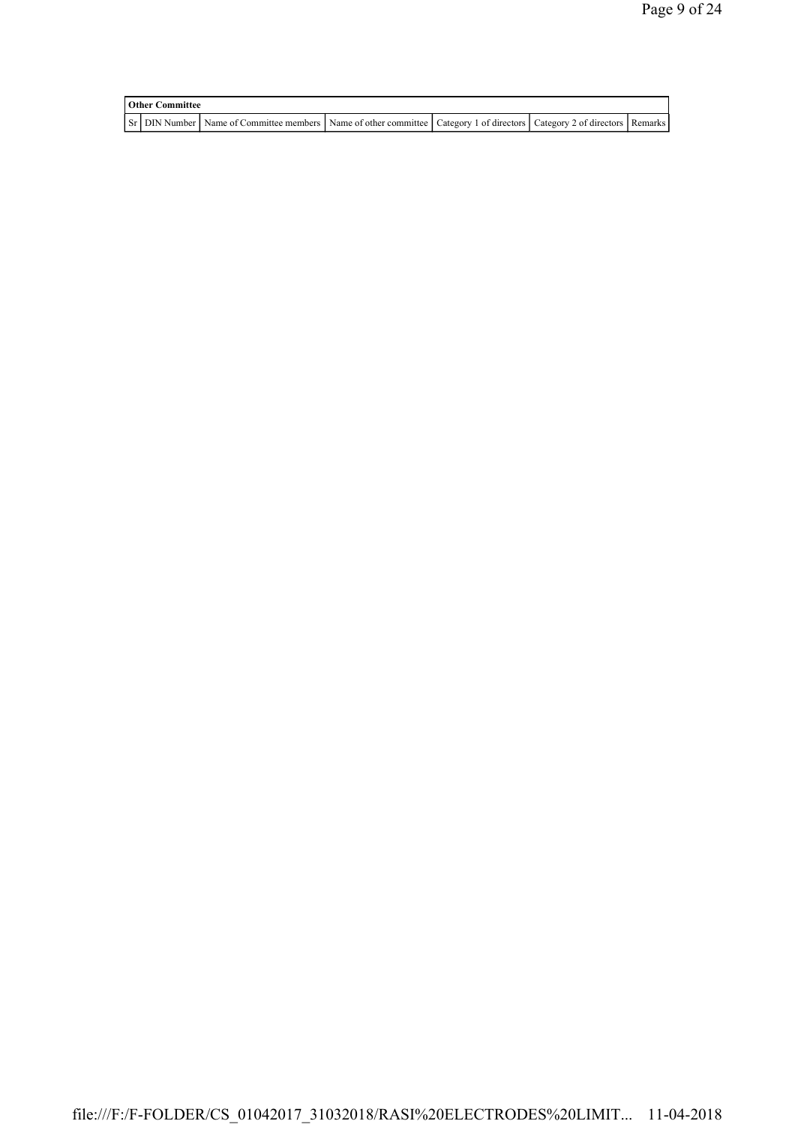| <b>Other Committee</b> |                                                                                                                         |  |  |  |  |  |
|------------------------|-------------------------------------------------------------------------------------------------------------------------|--|--|--|--|--|
|                        | ST DIN Number Name of Committee members Name of other committee Category 1 of directors Category 2 of directors Remarks |  |  |  |  |  |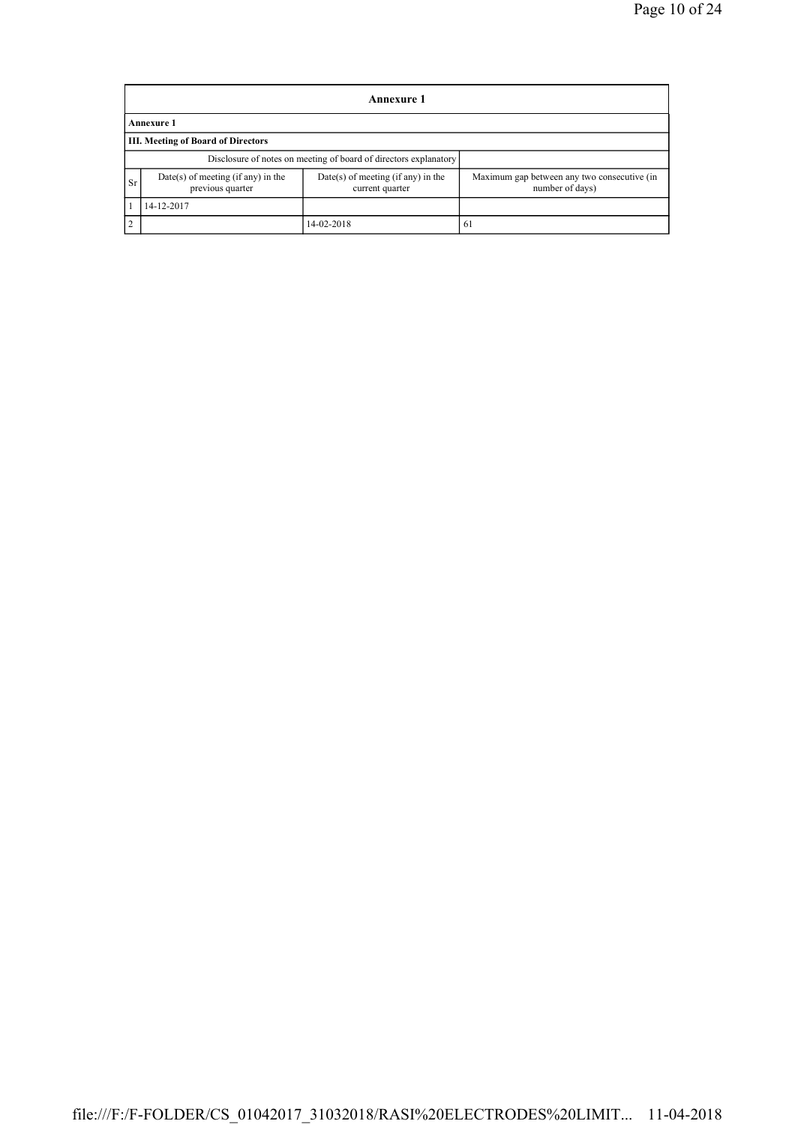|            | <b>Annexure 1</b>                                      |                                                                  |                                                                |  |  |  |  |
|------------|--------------------------------------------------------|------------------------------------------------------------------|----------------------------------------------------------------|--|--|--|--|
|            | <b>Annexure 1</b>                                      |                                                                  |                                                                |  |  |  |  |
|            | <b>III. Meeting of Board of Directors</b>              |                                                                  |                                                                |  |  |  |  |
|            |                                                        | Disclosure of notes on meeting of board of directors explanatory |                                                                |  |  |  |  |
| <b>Sr</b>  | Date(s) of meeting (if any) in the<br>previous quarter | Date(s) of meeting (if any) in the<br>current quarter            | Maximum gap between any two consecutive (in<br>number of days) |  |  |  |  |
|            | 14-12-2017                                             |                                                                  |                                                                |  |  |  |  |
| $\sqrt{2}$ |                                                        | 14-02-2018                                                       | 61                                                             |  |  |  |  |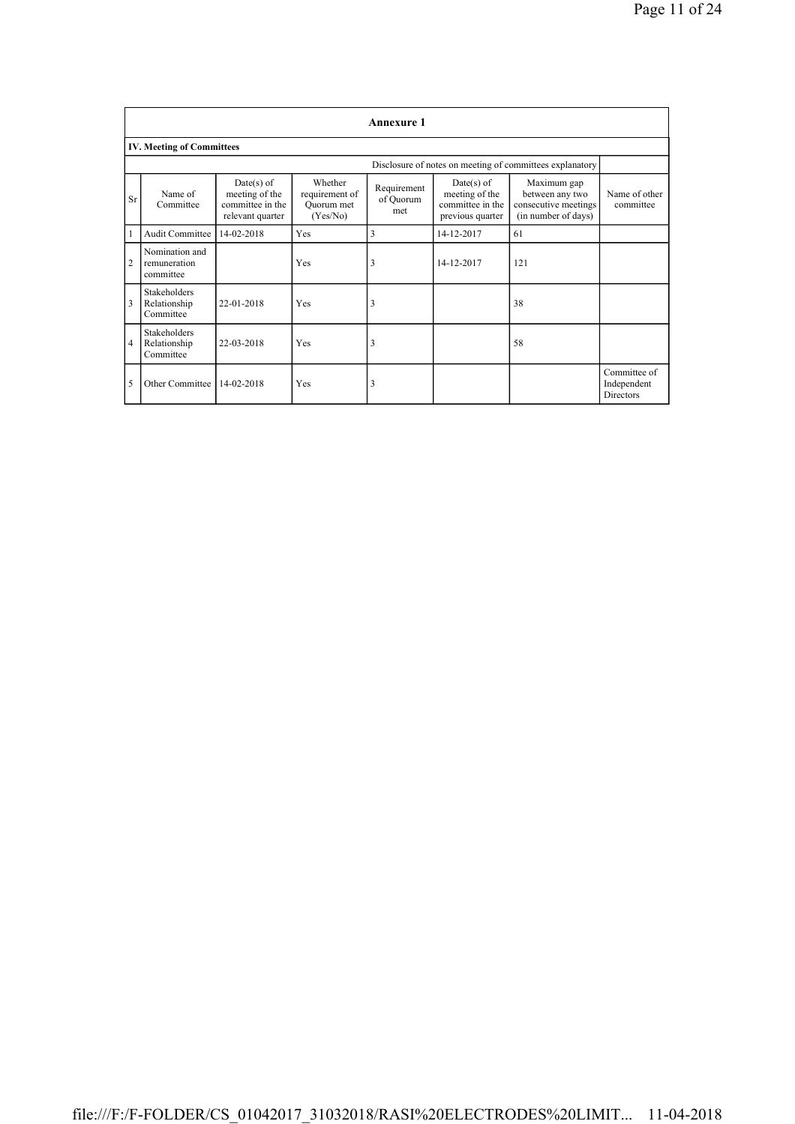|                                                          | <b>Annexure 1</b>                                |                                                                        |                                                     |                                 |                                                                      |                                                                               |                                                 |  |
|----------------------------------------------------------|--------------------------------------------------|------------------------------------------------------------------------|-----------------------------------------------------|---------------------------------|----------------------------------------------------------------------|-------------------------------------------------------------------------------|-------------------------------------------------|--|
|                                                          | <b>IV. Meeting of Committees</b>                 |                                                                        |                                                     |                                 |                                                                      |                                                                               |                                                 |  |
| Disclosure of notes on meeting of committees explanatory |                                                  |                                                                        |                                                     |                                 |                                                                      |                                                                               |                                                 |  |
| Sr                                                       | Name of<br>Committee                             | $Date(s)$ of<br>meeting of the<br>committee in the<br>relevant quarter | Whether<br>requirement of<br>Ouorum met<br>(Yes/No) | Requirement<br>of Quorum<br>met | Date(s) of<br>meeting of the<br>committee in the<br>previous quarter | Maximum gap<br>between any two<br>consecutive meetings<br>(in number of days) | Name of other<br>committee                      |  |
| $\mathbf{1}$                                             | <b>Audit Committee</b>                           | 14-02-2018                                                             | Yes                                                 | 3                               | 14-12-2017                                                           | 61                                                                            |                                                 |  |
| 2                                                        | Nomination and<br>remuneration<br>committee      |                                                                        | Yes                                                 | 3                               | 14-12-2017                                                           | 121                                                                           |                                                 |  |
| 3                                                        | <b>Stakeholders</b><br>Relationship<br>Committee | 22-01-2018                                                             | Yes                                                 | 3                               |                                                                      | 38                                                                            |                                                 |  |
| 4                                                        | <b>Stakeholders</b><br>Relationship<br>Committee | 22-03-2018                                                             | Yes                                                 | 3                               |                                                                      | 58                                                                            |                                                 |  |
| 5                                                        | Other Committee                                  | 14-02-2018                                                             | Yes                                                 | 3                               |                                                                      |                                                                               | Committee of<br>Independent<br><b>Directors</b> |  |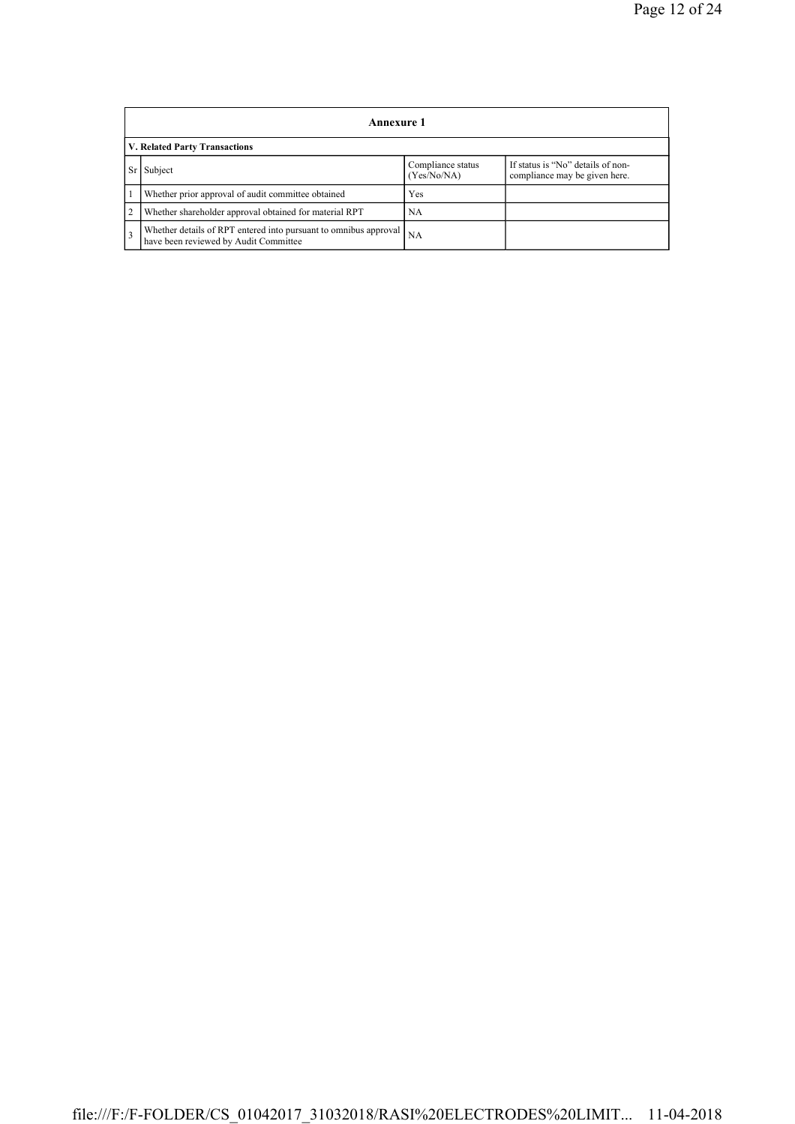|                | Annexure 1                                                                                                |                                  |                                                                    |  |  |  |  |
|----------------|-----------------------------------------------------------------------------------------------------------|----------------------------------|--------------------------------------------------------------------|--|--|--|--|
|                | V. Related Party Transactions                                                                             |                                  |                                                                    |  |  |  |  |
| Sr             | Subject                                                                                                   | Compliance status<br>(Yes/No/NA) | If status is "No" details of non-<br>compliance may be given here. |  |  |  |  |
|                | Whether prior approval of audit committee obtained                                                        | Yes                              |                                                                    |  |  |  |  |
| $\overline{2}$ | Whether shareholder approval obtained for material RPT                                                    | NA                               |                                                                    |  |  |  |  |
| $\overline{3}$ | Whether details of RPT entered into pursuant to omnibus approval<br>have been reviewed by Audit Committee | NA                               |                                                                    |  |  |  |  |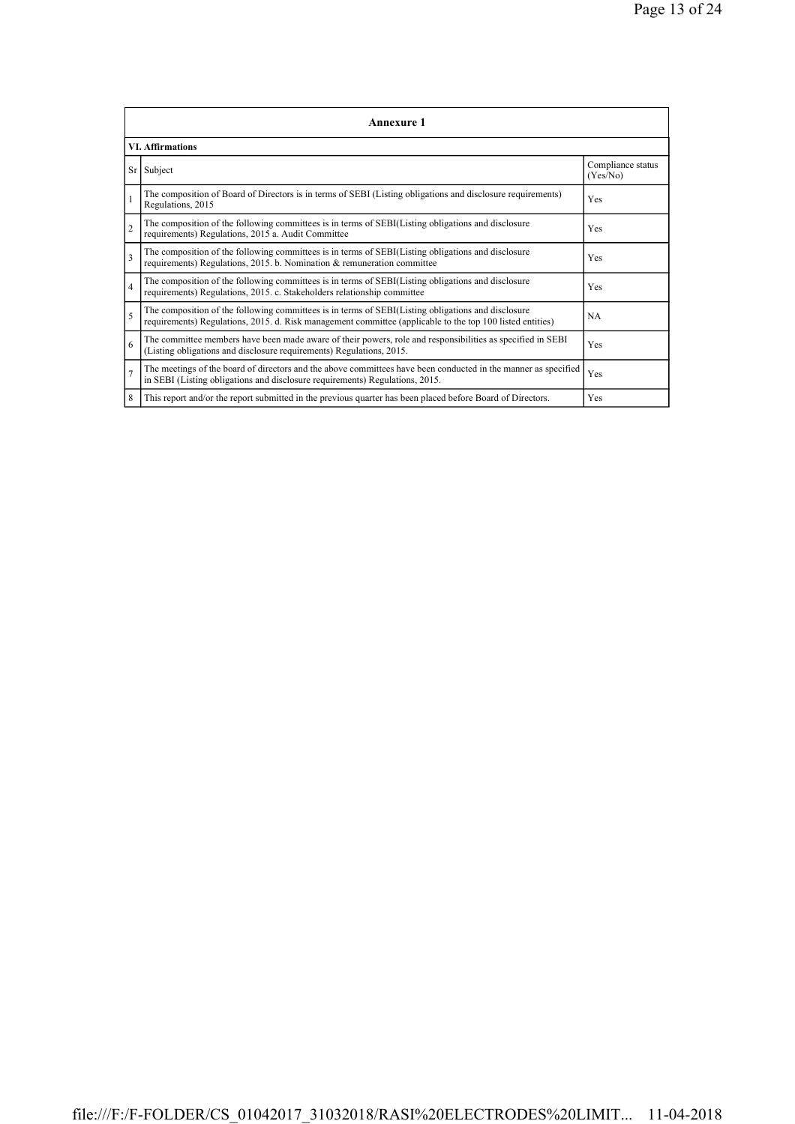|                | <b>Annexure 1</b>                                                                                                                                                                                               |                               |  |  |
|----------------|-----------------------------------------------------------------------------------------------------------------------------------------------------------------------------------------------------------------|-------------------------------|--|--|
|                | <b>VI.</b> Affirmations                                                                                                                                                                                         |                               |  |  |
|                | Sr Subject                                                                                                                                                                                                      | Compliance status<br>(Yes/No) |  |  |
| $\mathbf{1}$   | The composition of Board of Directors is in terms of SEBI (Listing obligations and disclosure requirements)<br>Regulations, 2015                                                                                | Yes                           |  |  |
| $\overline{2}$ | The composition of the following committees is in terms of SEBI(Listing obligations and disclosure<br>requirements) Regulations, 2015 a. Audit Committee                                                        | Yes                           |  |  |
| $\mathbf{3}$   | The composition of the following committees is in terms of SEBI(Listing obligations and disclosure<br>requirements) Regulations, 2015. b. Nomination & remuneration committee                                   | Yes                           |  |  |
| $\overline{4}$ | The composition of the following committees is in terms of SEBI(Listing obligations and disclosure<br>requirements) Regulations, 2015. c. Stakeholders relationship committee                                   | Yes                           |  |  |
| 5              | The composition of the following committees is in terms of SEBI(Listing obligations and disclosure<br>requirements) Regulations, 2015. d. Risk management committee (applicable to the top 100 listed entities) | <b>NA</b>                     |  |  |
| 6              | The committee members have been made aware of their powers, role and responsibilities as specified in SEBI<br>(Listing obligations and disclosure requirements) Regulations, 2015.                              | Yes                           |  |  |
| $\overline{7}$ | The meetings of the board of directors and the above committees have been conducted in the manner as specified<br>in SEBI (Listing obligations and disclosure requirements) Regulations, 2015.                  | Yes                           |  |  |
| 8              | This report and/or the report submitted in the previous quarter has been placed before Board of Directors.                                                                                                      | Yes                           |  |  |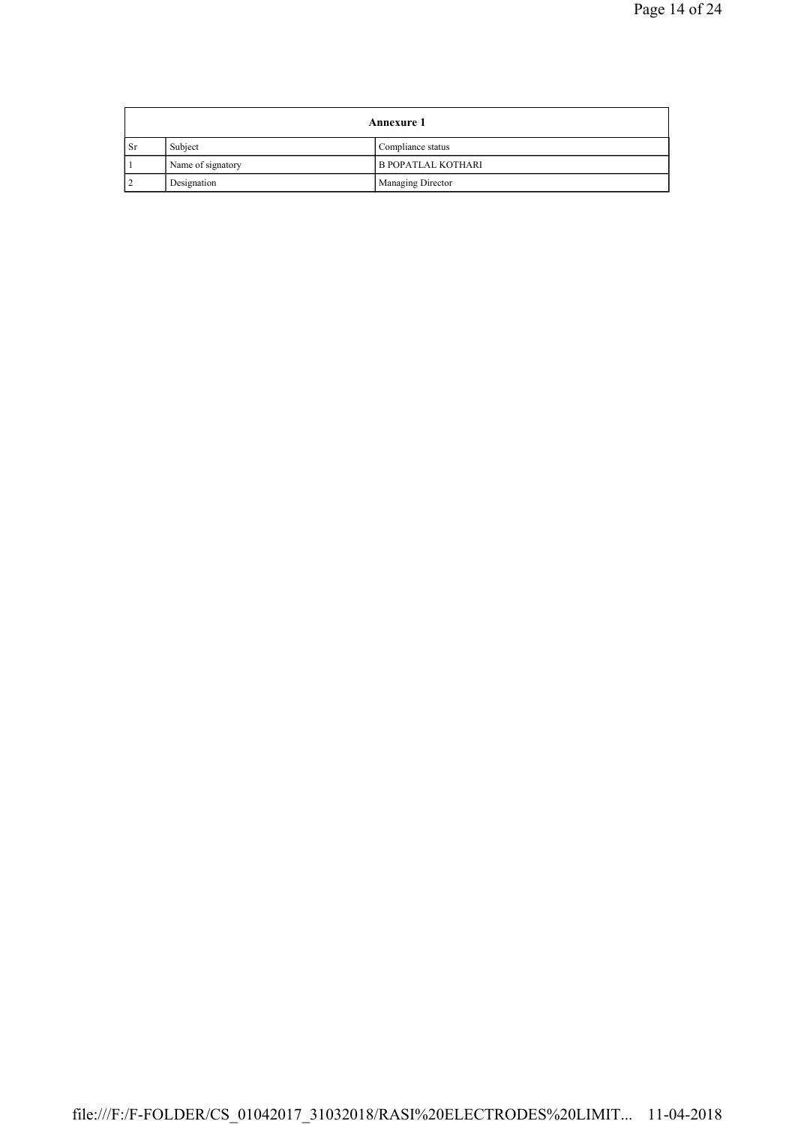|           | <b>Annexure 1</b>            |                           |  |
|-----------|------------------------------|---------------------------|--|
| <b>Sr</b> | Subject<br>Compliance status |                           |  |
|           | Name of signatory            | <b>B POPATLAL KOTHARI</b> |  |
|           | Designation                  | Managing Director         |  |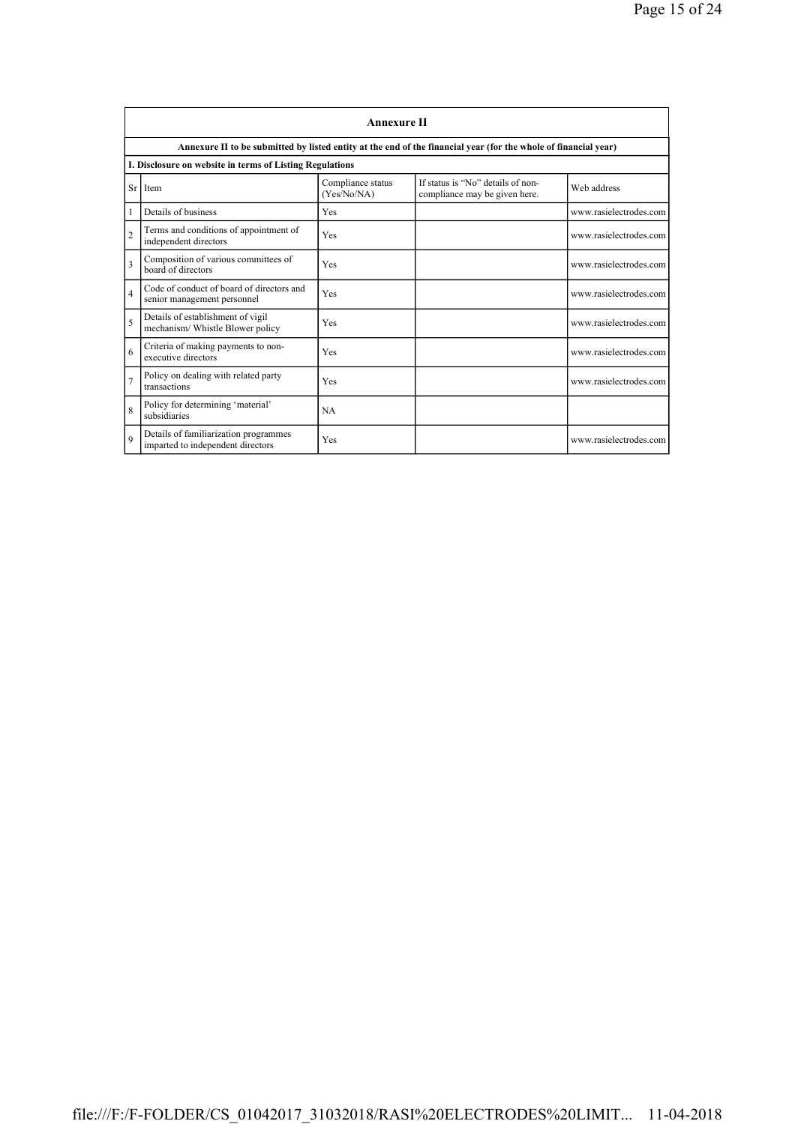|                | <b>Annexure II</b>                                                         |                                  |                                                                                                                 |                        |  |
|----------------|----------------------------------------------------------------------------|----------------------------------|-----------------------------------------------------------------------------------------------------------------|------------------------|--|
|                |                                                                            |                                  | Annexure II to be submitted by listed entity at the end of the financial year (for the whole of financial year) |                        |  |
|                | I. Disclosure on website in terms of Listing Regulations                   |                                  |                                                                                                                 |                        |  |
|                | Sr Item                                                                    | Compliance status<br>(Yes/No/NA) | If status is "No" details of non-<br>compliance may be given here.                                              | Web address            |  |
| 1              | Details of business                                                        | <b>Yes</b>                       |                                                                                                                 | www.rasielectrodes.com |  |
| $\overline{2}$ | Terms and conditions of appointment of<br>independent directors            | Yes                              |                                                                                                                 | www.rasielectrodes.com |  |
| 3              | Composition of various committees of<br>board of directors                 | Yes                              |                                                                                                                 | www.rasielectrodes.com |  |
| $\overline{4}$ | Code of conduct of board of directors and<br>senior management personnel   | Yes                              |                                                                                                                 | www.rasielectrodes.com |  |
| 5              | Details of establishment of vigil<br>mechanism/ Whistle Blower policy      | Yes                              |                                                                                                                 | www.rasielectrodes.com |  |
| 6              | Criteria of making payments to non-<br>executive directors                 | Yes                              |                                                                                                                 | www.rasielectrodes.com |  |
| 7              | Policy on dealing with related party<br>transactions                       | Yes                              |                                                                                                                 | www.rasielectrodes.com |  |
| 8              | Policy for determining 'material'<br>subsidiaries                          | <b>NA</b>                        |                                                                                                                 |                        |  |
| $\mathbf Q$    | Details of familiarization programmes<br>imparted to independent directors | Yes                              |                                                                                                                 | www.rasielectrodes.com |  |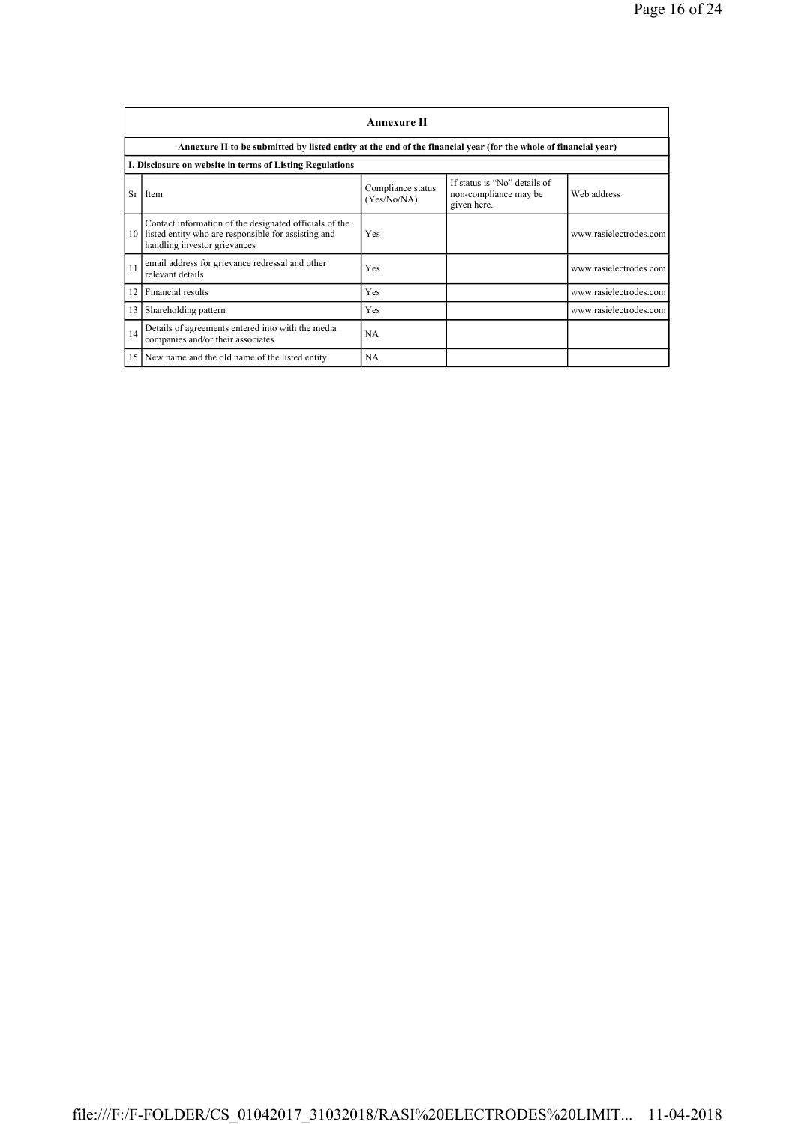|                 | <b>Annexure II</b>                                                                                                                            |                                  |                                                                      |                        |  |
|-----------------|-----------------------------------------------------------------------------------------------------------------------------------------------|----------------------------------|----------------------------------------------------------------------|------------------------|--|
|                 | Annexure II to be submitted by listed entity at the end of the financial year (for the whole of financial year)                               |                                  |                                                                      |                        |  |
|                 | I. Disclosure on website in terms of Listing Regulations                                                                                      |                                  |                                                                      |                        |  |
| <b>Sr</b>       | Item                                                                                                                                          | Compliance status<br>(Yes/No/NA) | If status is "No" details of<br>non-compliance may be<br>given here. | Web address            |  |
| 10              | Contact information of the designated officials of the<br>listed entity who are responsible for assisting and<br>handling investor grievances | Yes                              |                                                                      | www.rasielectrodes.com |  |
| 11              | email address for grievance redressal and other<br>relevant details                                                                           | Yes                              |                                                                      | www.rasielectrodes.com |  |
| 12              | Financial results                                                                                                                             | Yes                              |                                                                      | www.rasielectrodes.com |  |
| 13              | Shareholding pattern                                                                                                                          | Yes                              |                                                                      | www.rasielectrodes.com |  |
| 14              | Details of agreements entered into with the media<br>companies and/or their associates                                                        | NA                               |                                                                      |                        |  |
| 15 <sup>1</sup> | New name and the old name of the listed entity                                                                                                | <b>NA</b>                        |                                                                      |                        |  |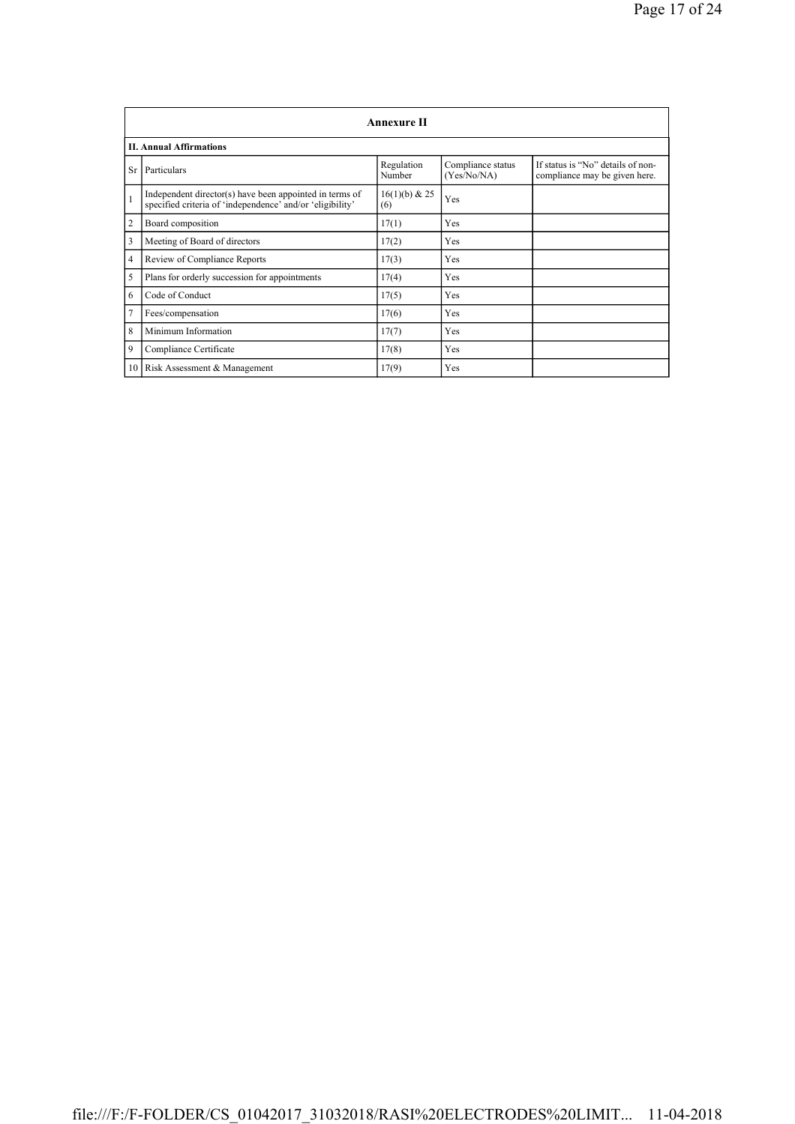|                | <b>Annexure II</b>                                                                                                   |                      |                                  |                                                                    |  |
|----------------|----------------------------------------------------------------------------------------------------------------------|----------------------|----------------------------------|--------------------------------------------------------------------|--|
|                | <b>II. Annual Affirmations</b>                                                                                       |                      |                                  |                                                                    |  |
| <b>Sr</b>      | Particulars                                                                                                          | Regulation<br>Number | Compliance status<br>(Yes/No/NA) | If status is "No" details of non-<br>compliance may be given here. |  |
| $\mathbf{1}$   | Independent director(s) have been appointed in terms of<br>specified criteria of 'independence' and/or 'eligibility' | 16(1)(b) & 25<br>(6) | Yes                              |                                                                    |  |
| $\overline{2}$ | Board composition                                                                                                    | 17(1)                | Yes                              |                                                                    |  |
| 3              | Meeting of Board of directors                                                                                        | 17(2)                | Yes                              |                                                                    |  |
| 4              | Review of Compliance Reports                                                                                         | 17(3)                | Yes                              |                                                                    |  |
| 5              | Plans for orderly succession for appointments                                                                        | 17(4)                | Yes                              |                                                                    |  |
| 6              | Code of Conduct                                                                                                      | 17(5)                | Yes                              |                                                                    |  |
| 7              | Fees/compensation                                                                                                    | 17(6)                | Yes                              |                                                                    |  |
| 8              | Minimum Information                                                                                                  | 17(7)                | Yes                              |                                                                    |  |
| 9              | Compliance Certificate                                                                                               | 17(8)                | Yes                              |                                                                    |  |
|                | 10 Risk Assessment & Management                                                                                      | 17(9)                | Yes                              |                                                                    |  |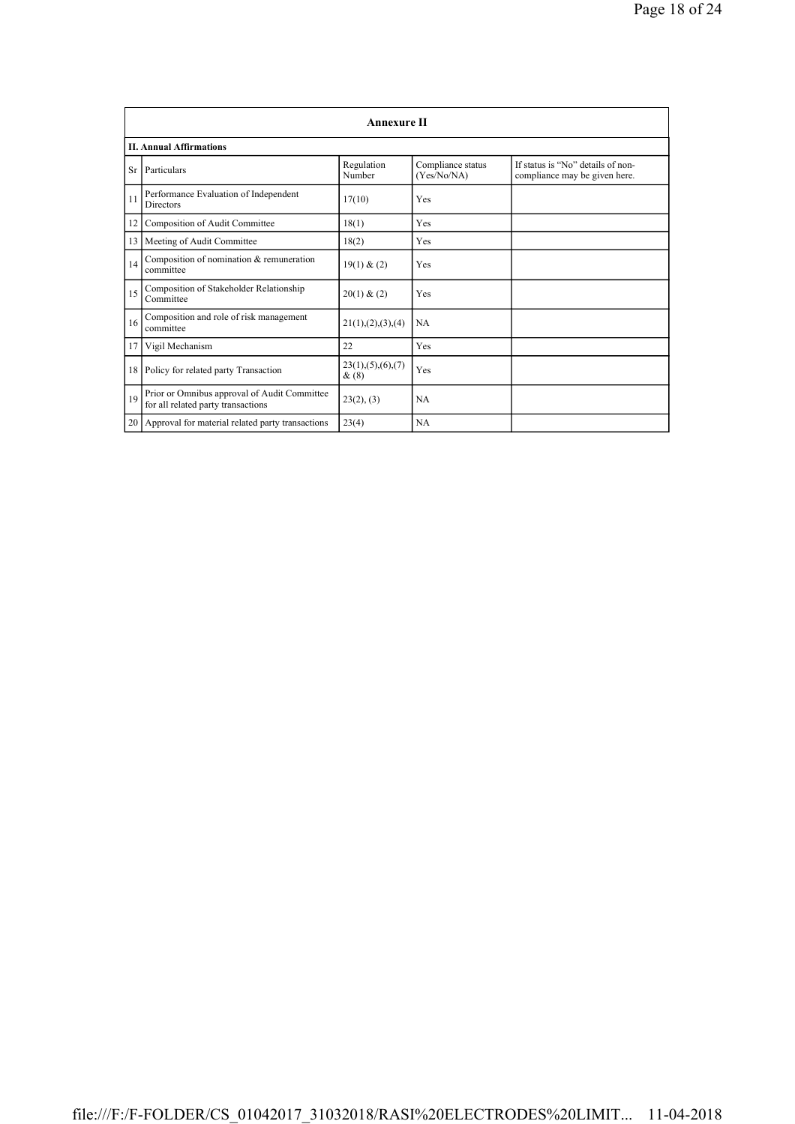|                 | Annexure II                                                                        |                                 |                                  |                                                                    |  |
|-----------------|------------------------------------------------------------------------------------|---------------------------------|----------------------------------|--------------------------------------------------------------------|--|
|                 | <b>II. Annual Affirmations</b>                                                     |                                 |                                  |                                                                    |  |
| <b>Sr</b>       | Particulars                                                                        | Regulation<br>Number            | Compliance status<br>(Yes/No/NA) | If status is "No" details of non-<br>compliance may be given here. |  |
| 11              | Performance Evaluation of Independent<br><b>Directors</b>                          | 17(10)                          | Yes                              |                                                                    |  |
| 12              | Composition of Audit Committee                                                     | 18(1)                           | Yes                              |                                                                    |  |
| 13              | Meeting of Audit Committee                                                         | 18(2)                           | Yes                              |                                                                    |  |
| 14              | Composition of nomination & remuneration<br>committee                              | 19(1) & (2)                     | Yes                              |                                                                    |  |
| 15              | Composition of Stakeholder Relationship<br>Committee                               | 20(1) & (2)                     | Yes                              |                                                                    |  |
| 16              | Composition and role of risk management<br>committee                               | 21(1), (2), (3), (4)            | <b>NA</b>                        |                                                                    |  |
| 17              | Vigil Mechanism                                                                    | 22                              | Yes                              |                                                                    |  |
| 18 <sup>1</sup> | Policy for related party Transaction                                               | 23(1), (5), (6), (7)<br>$\&(8)$ | Yes                              |                                                                    |  |
| 19              | Prior or Omnibus approval of Audit Committee<br>for all related party transactions | 23(2), (3)                      | NA.                              |                                                                    |  |
| 20              | Approval for material related party transactions                                   | 23(4)                           | <b>NA</b>                        |                                                                    |  |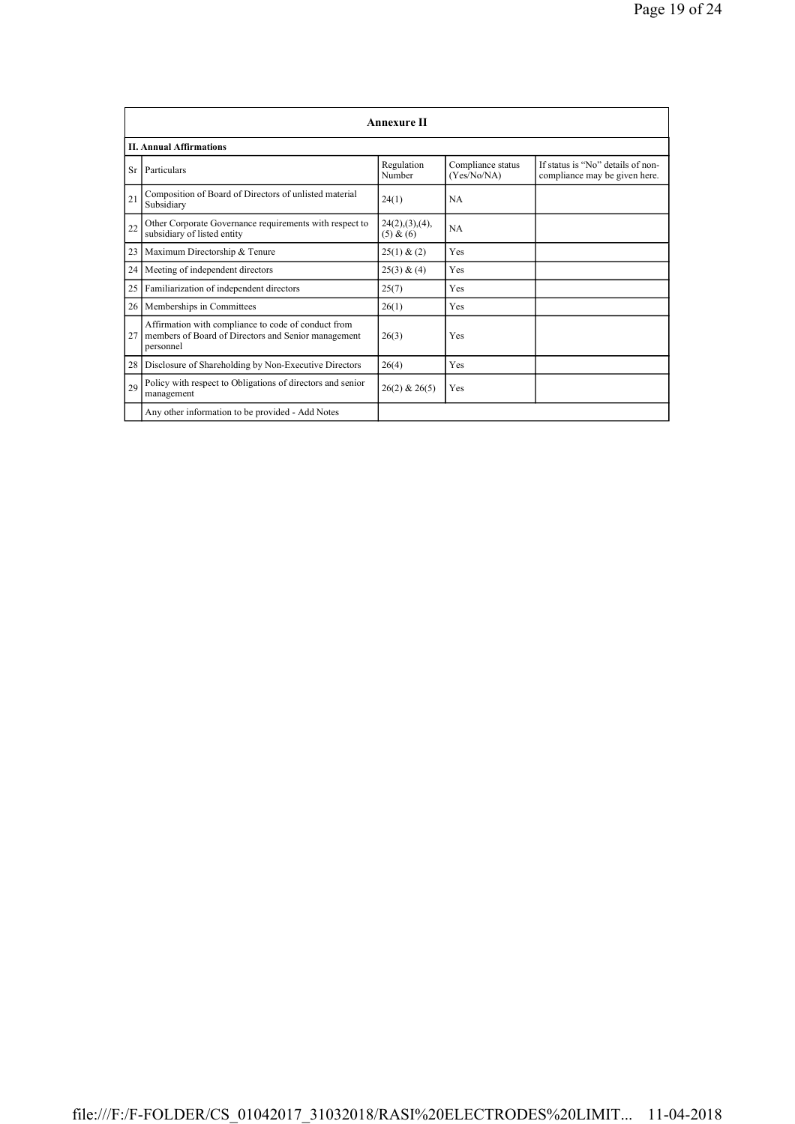|    | <b>Annexure II</b>                                                                                                      |                               |                                  |                                                                    |
|----|-------------------------------------------------------------------------------------------------------------------------|-------------------------------|----------------------------------|--------------------------------------------------------------------|
|    | <b>II. Annual Affirmations</b>                                                                                          |                               |                                  |                                                                    |
| Sr | Particulars                                                                                                             | Regulation<br>Number          | Compliance status<br>(Yes/No/NA) | If status is "No" details of non-<br>compliance may be given here. |
| 21 | Composition of Board of Directors of unlisted material<br>Subsidiary                                                    | 24(1)                         | NA.                              |                                                                    |
| 22 | Other Corporate Governance requirements with respect to<br>subsidiary of listed entity                                  | 24(2), (3), (4),<br>(5) & (6) | NA                               |                                                                    |
| 23 | Maximum Directorship & Tenure                                                                                           | 25(1) & (2)                   | Yes                              |                                                                    |
| 24 | Meeting of independent directors                                                                                        | 25(3) & (4)                   | Yes                              |                                                                    |
| 25 | Familiarization of independent directors                                                                                | 25(7)                         | Yes                              |                                                                    |
| 26 | Memberships in Committees                                                                                               | 26(1)                         | Yes                              |                                                                    |
| 27 | Affirmation with compliance to code of conduct from<br>members of Board of Directors and Senior management<br>personnel | 26(3)                         | Yes                              |                                                                    |
| 28 | Disclosure of Shareholding by Non-Executive Directors                                                                   | 26(4)                         | Yes                              |                                                                    |
| 29 | Policy with respect to Obligations of directors and senior<br>management                                                | $26(2)$ & $26(5)$             | Yes                              |                                                                    |
|    | Any other information to be provided - Add Notes                                                                        |                               |                                  |                                                                    |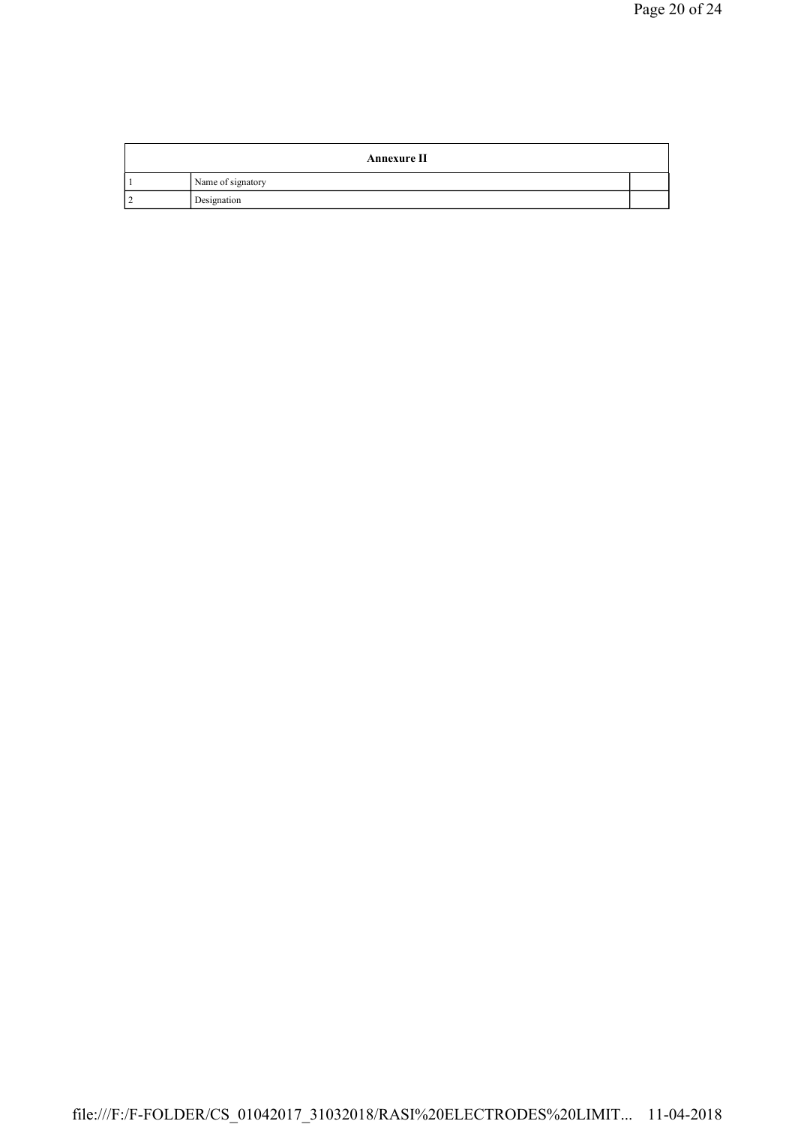|     | <b>Annexure II</b> |  |
|-----|--------------------|--|
|     | Name of signatory  |  |
| ר ו | Designation        |  |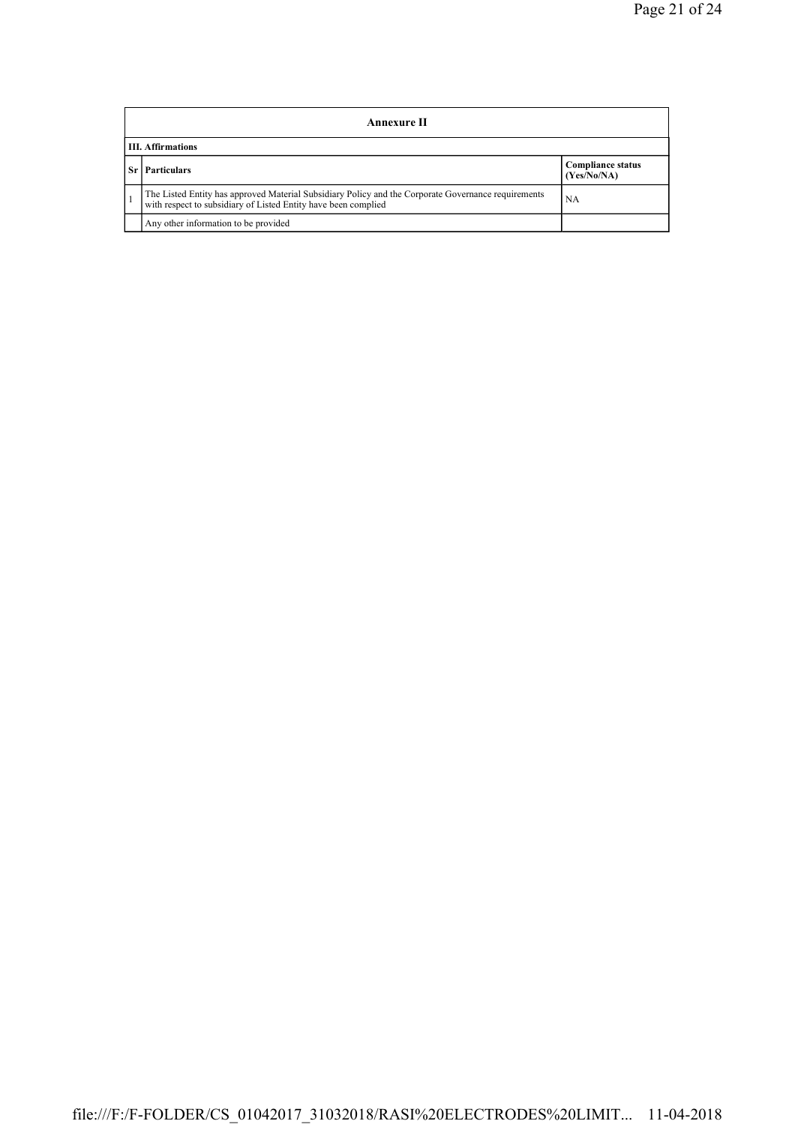|    | Annexure II                                                                                                                                                                 |                                         |  |  |
|----|-----------------------------------------------------------------------------------------------------------------------------------------------------------------------------|-----------------------------------------|--|--|
|    | <b>III.</b> Affirmations                                                                                                                                                    |                                         |  |  |
| Sr | <b>Particulars</b>                                                                                                                                                          | <b>Compliance status</b><br>(Yes/No/NA) |  |  |
|    | The Listed Entity has approved Material Subsidiary Policy and the Corporate Governance requirements<br>with respect to subsidiary of Listed Entity have been complied<br>NA |                                         |  |  |
|    | Any other information to be provided                                                                                                                                        |                                         |  |  |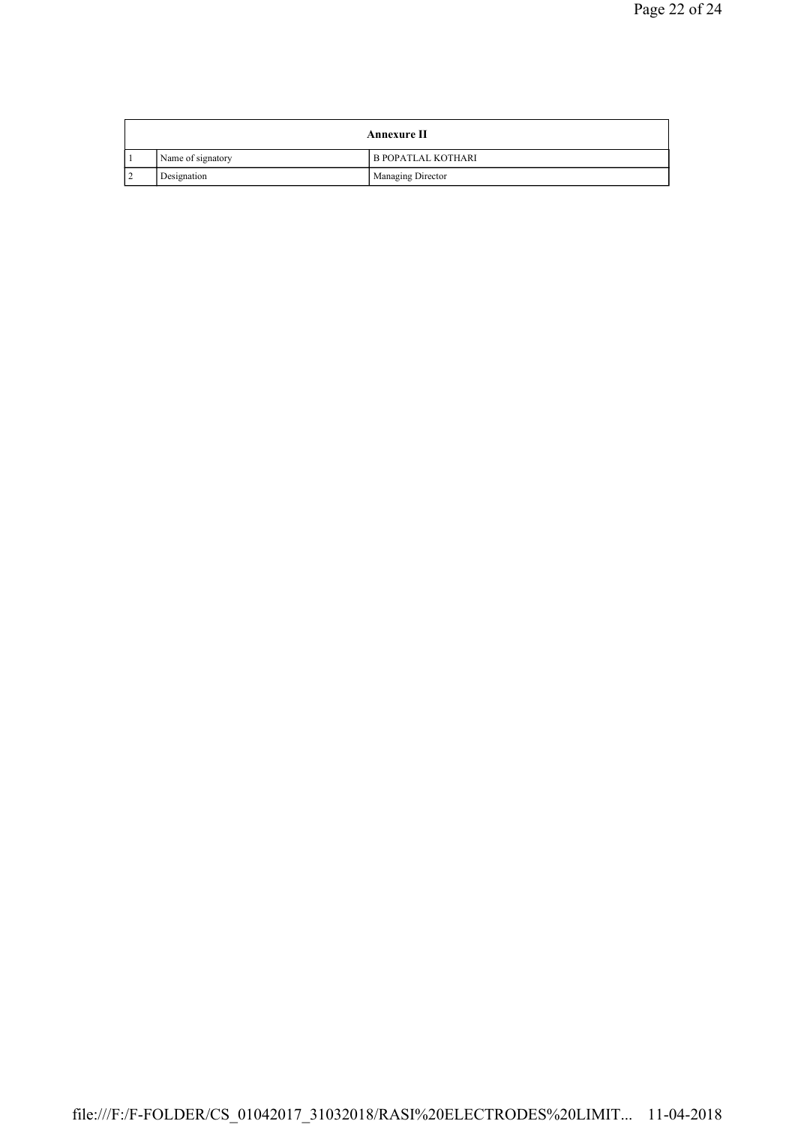| Annexure II |                   |                           |
|-------------|-------------------|---------------------------|
|             | Name of signatory | <b>B POPATLAL KOTHARI</b> |
|             | Designation       | Managing Director         |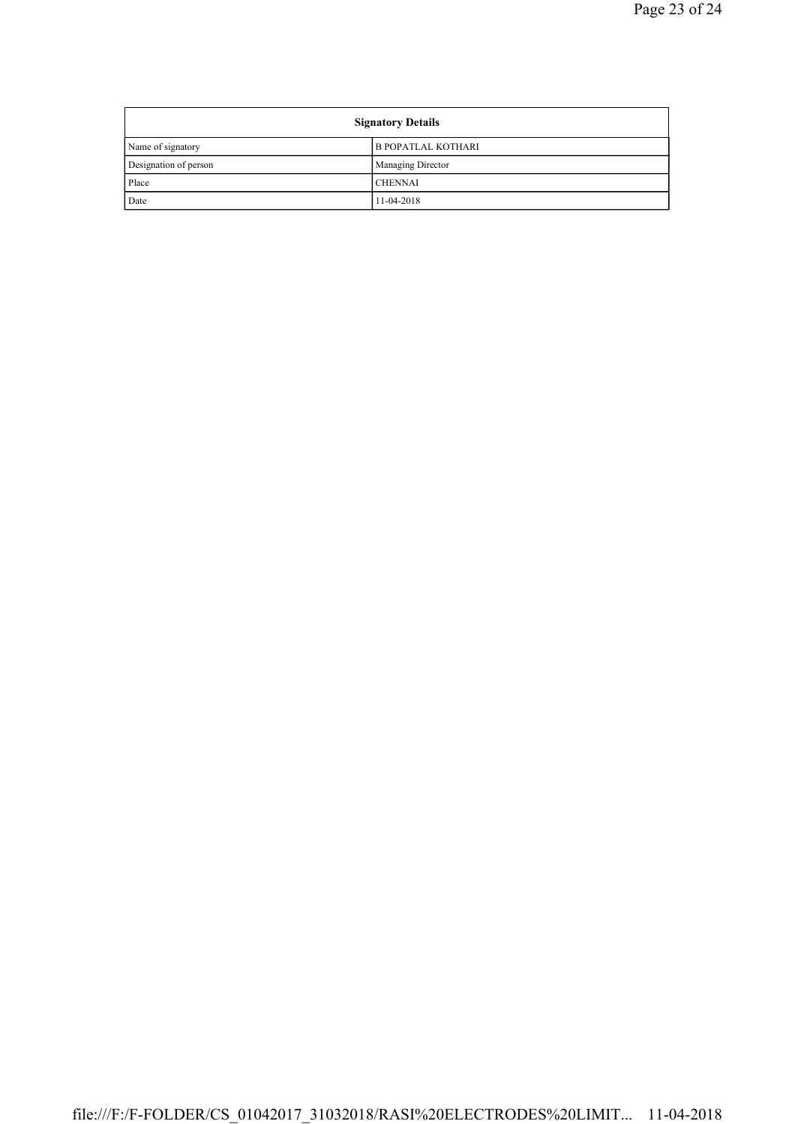| <b>Signatory Details</b> |                           |
|--------------------------|---------------------------|
| Name of signatory        | <b>B POPATLAL KOTHARI</b> |
| Designation of person    | <b>Managing Director</b>  |
| Place                    | <b>CHENNAI</b>            |
| Date                     | 11-04-2018                |